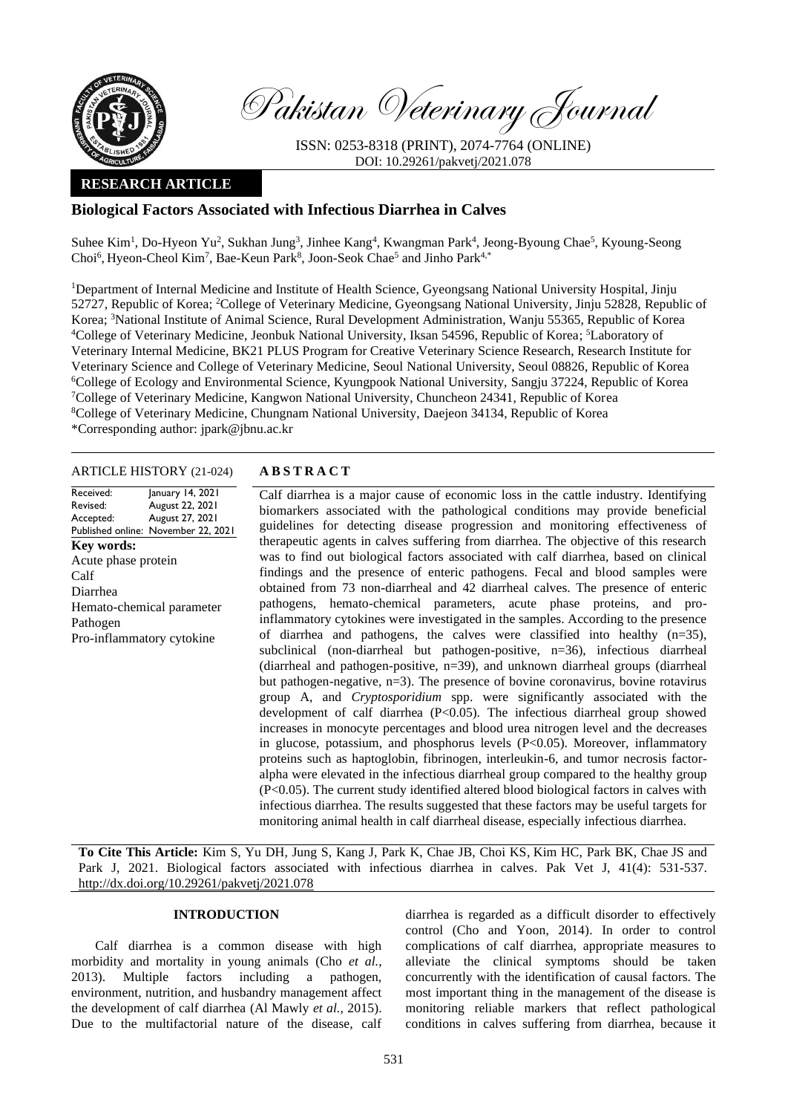

Pakistan Veterinary Journal

ISSN: 0253-8318 (PRINT), 2074-7764 (ONLINE) DOI: 10.29261/pakvetj/2021.078

# **RESEARCH ARTICLE**

# **Biological Factors Associated with Infectious Diarrhea in Calves**

Suhee Kim<sup>1</sup>, Do-Hyeon Yu<sup>2</sup>, Sukhan Jung<sup>3</sup>, Jinhee Kang<sup>4</sup>, Kwangman Park<sup>4</sup>, Jeong-Byoung Chae<sup>5</sup>, Kyoung-Seong Choi<sup>6</sup>, Hyeon-Cheol Kim<sup>7</sup>, Bae-Keun Park<sup>8</sup>, Joon-Seok Chae<sup>5</sup> and Jinho Park<sup>4,\*</sup>

<sup>1</sup>Department of Internal Medicine and Institute of Health Science, Gyeongsang National University Hospital, Jinju 52727, Republic of Korea; <sup>2</sup>College of Veterinary Medicine, Gyeongsang National University, Jinju 52828, Republic of Korea; <sup>3</sup>National Institute of Animal Science, Rural Development Administration, Wanju 55365, Republic of Korea <sup>4</sup>College of Veterinary Medicine, Jeonbuk National University, Iksan 54596, Republic of Korea; <sup>5</sup>Laboratory of Veterinary Internal Medicine, BK21 PLUS Program for Creative Veterinary Science Research, Research Institute for Veterinary Science and College of Veterinary Medicine, Seoul National University, Seoul 08826, Republic of Korea <sup>6</sup>College of Ecology and Environmental Science, Kyungpook National University, Sangju 37224, Republic of Korea <sup>7</sup>College of Veterinary Medicine, Kangwon National University, Chuncheon 24341, Republic of Korea <sup>8</sup>College of Veterinary Medicine, Chungnam National University, Daejeon 34134, Republic of Korea \*Corresponding author: jpark@jbnu.ac.kr

## ARTICLE HISTORY (21-024) **A B S T R A C T**

| Received:                 | January 14, 2021                    |
|---------------------------|-------------------------------------|
| Revised:                  | August 22, 2021                     |
| Accepted:                 | August 27, 2021                     |
|                           | Published online: November 22, 2021 |
| Key words:                |                                     |
| Acute phase protein       |                                     |
| Calf                      |                                     |
| Diarrhea                  |                                     |
|                           | Hemato-chemical parameter           |
| Pathogen                  |                                     |
| Pro-inflammatory cytokine |                                     |
|                           |                                     |

Calf diarrhea is a major cause of economic loss in the cattle industry. Identifying biomarkers associated with the pathological conditions may provide beneficial guidelines for detecting disease progression and monitoring effectiveness of therapeutic agents in calves suffering from diarrhea. The objective of this research was to find out biological factors associated with calf diarrhea, based on clinical findings and the presence of enteric pathogens. Fecal and blood samples were obtained from 73 non-diarrheal and 42 diarrheal calves. The presence of enteric pathogens, hemato-chemical parameters, acute phase proteins, and proinflammatory cytokines were investigated in the samples. According to the presence of diarrhea and pathogens, the calves were classified into healthy  $(n=35)$ , subclinical (non-diarrheal but pathogen-positive, n=36), infectious diarrheal (diarrheal and pathogen-positive,  $n=39$ ), and unknown diarrheal groups (diarrheal but pathogen-negative, n=3). The presence of bovine coronavirus, bovine rotavirus group A, and *Cryptosporidium* spp. were significantly associated with the development of calf diarrhea (P<0.05). The infectious diarrheal group showed increases in monocyte percentages and blood urea nitrogen level and the decreases in glucose, potassium, and phosphorus levels (P<0.05). Moreover, inflammatory proteins such as haptoglobin, fibrinogen, interleukin-6, and tumor necrosis factoralpha were elevated in the infectious diarrheal group compared to the healthy group (P<0.05). The current study identified altered blood biological factors in calves with infectious diarrhea. The results suggested that these factors may be useful targets for monitoring animal health in calf diarrheal disease, especially infectious diarrhea.

**To Cite This Article:** Kim S, Yu DH, Jung S, Kang J, Park K, Chae JB, Choi KS, Kim HC, Park BK, Chae JS and Park J, 2021. Biological factors associated with infectious diarrhea in calves. Pak Vet J, 41(4): 531-537. [http://dx.doi.org/10.29261/pakvetj/2021.078](http://pvj.com.pk/pdf-files/41_4/531-537.pdf)

## **INTRODUCTION**

Calf diarrhea is a common disease with high morbidity and mortality in young animals (Cho *et al.*, 2013). Multiple factors including a pathogen, environment, nutrition, and husbandry management affect the development of calf diarrhea (Al Mawly *et al.*, 2015). Due to the multifactorial nature of the disease, calf diarrhea is regarded as a difficult disorder to effectively control (Cho and Yoon, 2014). In order to control complications of calf diarrhea, appropriate measures to alleviate the clinical symptoms should be taken concurrently with the identification of causal factors. The most important thing in the management of the disease is monitoring reliable markers that reflect pathological conditions in calves suffering from diarrhea, because it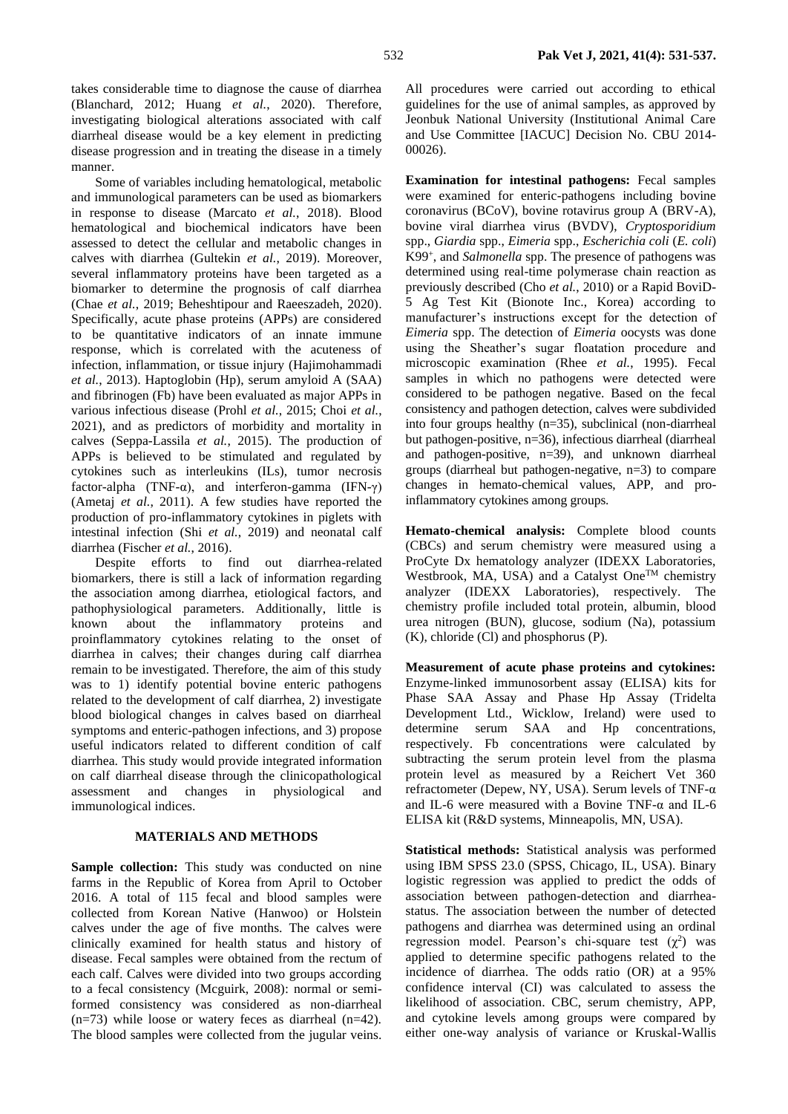takes considerable time to diagnose the cause of diarrhea (Blanchard, 2012; Huang *et al.*, 2020). Therefore, investigating biological alterations associated with calf diarrheal disease would be a key element in predicting disease progression and in treating the disease in a timely manner.

Some of variables including hematological, metabolic and immunological parameters can be used as biomarkers in response to disease (Marcato *et al.*, 2018). Blood hematological and biochemical indicators have been assessed to detect the cellular and metabolic changes in calves with diarrhea (Gultekin *et al.*, 2019). Moreover, several inflammatory proteins have been targeted as a biomarker to determine the prognosis of calf diarrhea (Chae *et al.*, 2019; Beheshtipour and Raeeszadeh, 2020). Specifically, acute phase proteins (APPs) are considered to be quantitative indicators of an innate immune response, which is correlated with the acuteness of infection, inflammation, or tissue injury (Hajimohammadi *et al.*, 2013). Haptoglobin (Hp), serum amyloid A (SAA) and fibrinogen (Fb) have been evaluated as major APPs in various infectious disease (Prohl *et al.*, 2015; Choi *et al.*, 2021), and as predictors of morbidity and mortality in calves (Seppa-Lassila *et al.*, 2015). The production of APPs is believed to be stimulated and regulated by cytokines such as interleukins (ILs), tumor necrosis factor-alpha (TNF- $\alpha$ ), and interferon-gamma (IFN- $\gamma$ ) (Ametaj *et al.*, 2011). A few studies have reported the production of pro-inflammatory cytokines in piglets with intestinal infection (Shi *et al.*, 2019) and neonatal calf diarrhea (Fischer *et al.*, 2016).

Despite efforts to find out diarrhea-related biomarkers, there is still a lack of information regarding the association among diarrhea, etiological factors, and pathophysiological parameters. Additionally, little is known about the inflammatory proteins and proinflammatory cytokines relating to the onset of diarrhea in calves; their changes during calf diarrhea remain to be investigated. Therefore, the aim of this study was to 1) identify potential bovine enteric pathogens related to the development of calf diarrhea, 2) investigate blood biological changes in calves based on diarrheal symptoms and enteric-pathogen infections, and 3) propose useful indicators related to different condition of calf diarrhea. This study would provide integrated information on calf diarrheal disease through the clinicopathological assessment and changes in physiological and immunological indices.

## **MATERIALS AND METHODS**

Sample collection: This study was conducted on nine farms in the Republic of Korea from April to October 2016. A total of 115 fecal and blood samples were collected from Korean Native (Hanwoo) or Holstein calves under the age of five months. The calves were clinically examined for health status and history of disease. Fecal samples were obtained from the rectum of each calf. Calves were divided into two groups according to a fecal consistency (Mcguirk, 2008): normal or semiformed consistency was considered as non-diarrheal  $(n=73)$  while loose or watery feces as diarrheal  $(n=42)$ . The blood samples were collected from the jugular veins.

All procedures were carried out according to ethical guidelines for the use of animal samples, as approved by Jeonbuk National University (Institutional Animal Care and Use Committee [IACUC] Decision No. CBU 2014- 00026).

**Examination for intestinal pathogens:** Fecal samples were examined for enteric-pathogens including bovine coronavirus (BCoV), bovine rotavirus group A (BRV-A), bovine viral diarrhea virus (BVDV), *Cryptosporidium* spp., *Giardia* spp., *Eimeria* spp., *Escherichia coli* (*E. coli*) K99<sup>+</sup> , and *Salmonella* spp. The presence of pathogens was determined using real-time polymerase chain reaction as previously described (Cho *et al.*, 2010) or a Rapid BoviD-5 Ag Test Kit (Bionote Inc., Korea) according to manufacturer's instructions except for the detection of *Eimeria* spp. The detection of *Eimeria* oocysts was done using the Sheather's sugar floatation procedure and microscopic examination (Rhee *et al.*, 1995). Fecal samples in which no pathogens were detected were considered to be pathogen negative. Based on the fecal consistency and pathogen detection, calves were subdivided into four groups healthy (n=35), subclinical (non-diarrheal but pathogen-positive, n=36), infectious diarrheal (diarrheal and pathogen-positive, n=39), and unknown diarrheal groups (diarrheal but pathogen-negative, n=3) to compare changes in hemato-chemical values, APP, and proinflammatory cytokines among groups.

**Hemato-chemical analysis:** Complete blood counts (CBCs) and serum chemistry were measured using a ProCyte Dx hematology analyzer (IDEXX Laboratories, Westbrook, MA, USA) and a Catalyst One<sup>TM</sup> chemistry analyzer (IDEXX Laboratories), respectively. The chemistry profile included total protein, albumin, blood urea nitrogen (BUN), glucose, sodium (Na), potassium (K), chloride (Cl) and phosphorus (P).

**Measurement of acute phase proteins and cytokines:**  Enzyme-linked immunosorbent assay (ELISA) kits for Phase SAA Assay and Phase Hp Assay (Tridelta Development Ltd., Wicklow, Ireland) were used to determine serum SAA and Hp concentrations, respectively. Fb concentrations were calculated by subtracting the serum protein level from the plasma protein level as measured by a Reichert Vet 360 refractometer (Depew, NY, USA). Serum levels of TNF-α and IL-6 were measured with a Bovine TNF-α and IL-6 ELISA kit (R&D systems, Minneapolis, MN, USA).

**Statistical methods:** Statistical analysis was performed using IBM SPSS 23.0 (SPSS, Chicago, IL, USA). Binary logistic regression was applied to predict the odds of association between pathogen-detection and diarrheastatus. The association between the number of detected pathogens and diarrhea was determined using an ordinal regression model. Pearson's chi-square test  $(\chi^2)$  was applied to determine specific pathogens related to the incidence of diarrhea. The odds ratio (OR) at a 95% confidence interval (CI) was calculated to assess the likelihood of association. CBC, serum chemistry, APP, and cytokine levels among groups were compared by either one-way analysis of variance or Kruskal-Wallis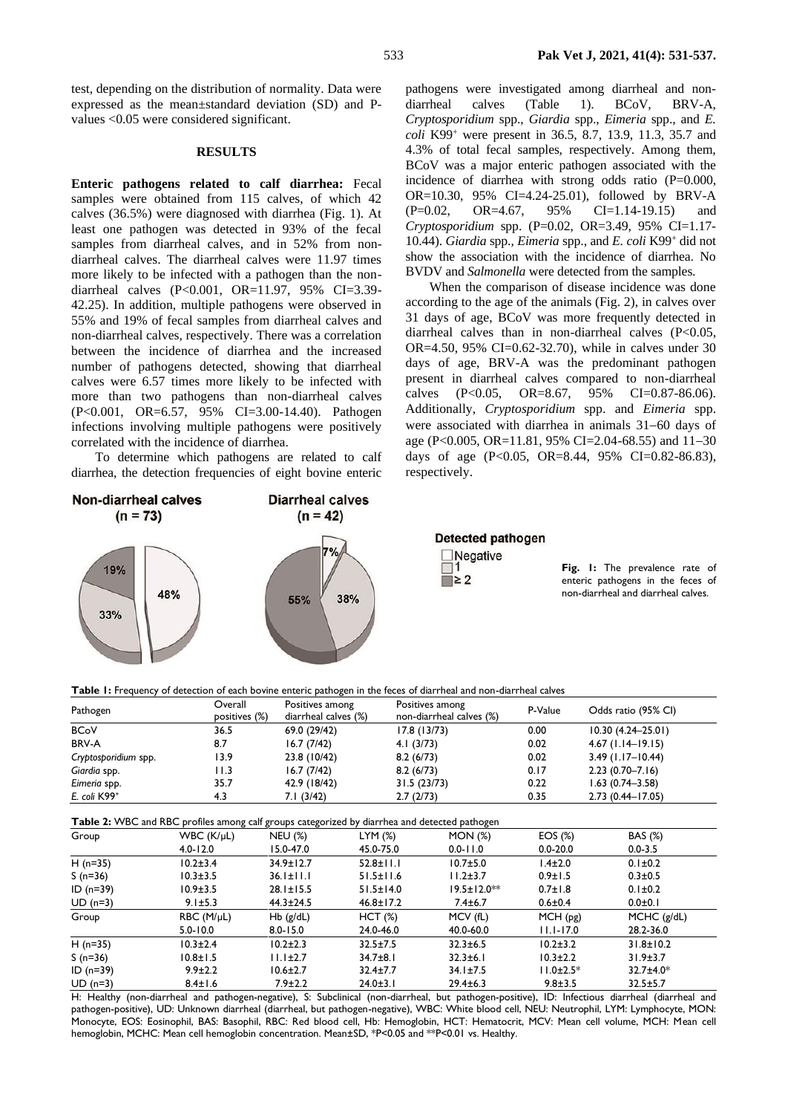test, depending on the distribution of normality. Data were expressed as the mean±standard deviation (SD) and Pvalues <0.05 were considered significant.

#### **RESULTS**

**Enteric pathogens related to calf diarrhea:** Fecal samples were obtained from 115 calves, of which 42 calves (36.5%) were diagnosed with diarrhea (Fig. 1). At least one pathogen was detected in 93% of the fecal samples from diarrheal calves, and in 52% from nondiarrheal calves. The diarrheal calves were 11.97 times more likely to be infected with a pathogen than the nondiarrheal calves (P<0.001, OR=11.97, 95% CI=3.39- 42.25). In addition, multiple pathogens were observed in 55% and 19% of fecal samples from diarrheal calves and non-diarrheal calves, respectively. There was a correlation between the incidence of diarrhea and the increased number of pathogens detected, showing that diarrheal calves were 6.57 times more likely to be infected with more than two pathogens than non-diarrheal calves (P<0.001, OR=6.57, 95% CI=3.00-14.40). Pathogen infections involving multiple pathogens were positively correlated with the incidence of diarrhea.

To determine which pathogens are related to calf diarrhea, the detection frequencies of eight bovine enteric

pathogens were investigated among diarrheal and nondiarrheal calves (Table 1). BCoV, BRV-A, *Cryptosporidium* spp., *Giardia* spp., *Eimeria* spp., and *E. coli* K99<sup>+</sup> were present in 36.5, 8.7, 13.9, 11.3, 35.7 and 4.3% of total fecal samples, respectively. Among them, BCoV was a major enteric pathogen associated with the incidence of diarrhea with strong odds ratio (P=0.000, OR=10.30, 95% CI=4.24-25.01), followed by BRV-A (P=0.02, OR=4.67, 95% CI=1.14-19.15) and *Cryptosporidium* spp. (P=0.02, OR=3.49, 95% CI=1.17- 10.44). *Giardia* spp., *Eimeria* spp., and *E. coli* K99<sup>+</sup> did not show the association with the incidence of diarrhea. No BVDV and *Salmonella* were detected from the samples.

When the comparison of disease incidence was done according to the age of the animals (Fig. 2), in calves over 31 days of age, BCoV was more frequently detected in diarrheal calves than in non-diarrheal calves (P<0.05, OR=4.50, 95% CI=0.62-32.70), while in calves under 30 days of age, BRV-A was the predominant pathogen present in diarrheal calves compared to non-diarrheal calves (P<0.05, OR=8.67, 95% CI=0.87-86.06). Additionally, *Cryptosporidium* spp. and *Eimeria* spp. were associated with diarrhea in animals 31−60 days of age (P<0.005, OR=11.81, 95% CI=2.04-68.55) and 11−30 days of age  $(P<0.05, OR=8.44, 95\% CI=0.82-86.83)$ , respectively.



# **Detected pathogen**

 $\Box$ Negative  $\square$ 1  $\equiv$  2

Fig. I: The prevalence rate of enteric pathogens in the feces of non-diarrheal and diarrheal calves.

**Table 1:** Frequency of detection of each bovine enteric pathogen in the feces of diarrheal and non-diarrheal calves

| Pathogen             | Overall<br>positives (%) | Positives among<br>diarrheal calves (%) | Positives among<br>non-diarrheal calves (%) | P-Value | Odds ratio (95% CI)   |
|----------------------|--------------------------|-----------------------------------------|---------------------------------------------|---------|-----------------------|
| <b>BCoV</b>          | 36.5                     | 69.0 (29/42)                            | 17.8(13/73)                                 | 0.00    | $10.30(4.24 - 25.01)$ |
| BRV-A                | 8.7                      | 16.7(7/42)                              | 4.1 $(3/73)$                                | 0.02    | $4.67$ (1.14–19.15)   |
| Cryptosporidium spp. | 13.9                     | 23.8 (10/42)                            | 8.2(6/73)                                   | 0.02    | $3.49$ (1.17-10.44)   |
| Giardia spp.         | I I.3                    | 16.7(7/42)                              | 8.2(6/73)                                   | 0.17    | $2.23(0.70 - 7.16)$   |
| Eimeria spp.         | 35.7                     | 42.9 (18/42)                            | 31.5(23/73)                                 | 0.22    | $1.63(0.74 - 3.58)$   |
| E. coli $K99^+$      | 4.3                      | 7.1(3/42)                               | 2.7(2/73)                                   | 0.35    | $2.73(0.44 - 17.05)$  |

| Table 2: WBC and RBC profiles among calf groups categorized by diarrhea and detected pathogen |                     |                 |                 |                    |                 |                 |  |  |
|-----------------------------------------------------------------------------------------------|---------------------|-----------------|-----------------|--------------------|-----------------|-----------------|--|--|
| Group                                                                                         | $WBC (K/\mu L)$     | <b>NEU (%)</b>  | $LYM$ $(\%)$    | <b>MON (%)</b>     | EOS $(\%)$      | <b>BAS</b> (%)  |  |  |
|                                                                                               | $4.0 - 12.0$        | $15.0 - 47.0$   | 45.0-75.0       | $0.0 - 11.0$       | $0.0 - 20.0$    | $0.0 - 3.5$     |  |  |
| $H(n=35)$                                                                                     | $10.2 \pm 3.4$      | 34.9±12.7       | $52.8 \pm 11.1$ | $10.7 + 5.0$       | $1.4 \pm 2.0$   | $0.1 \pm 0.2$   |  |  |
| $S(n=36)$                                                                                     | $10.3 \pm 3.5$      | $36.1 \pm 11.1$ | $51.5 \pm 11.6$ | $11.2 \pm 3.7$     | $0.9 \pm 1.5$   | $0.3 \pm 0.5$   |  |  |
| $ID (n=39)$                                                                                   | $10.9 \pm 3.5$      | $28.1 \pm 15.5$ | $51.5 \pm 14.0$ | $19.5 \pm 12.0$ ** | $0.7 \pm 1.8$   | $0.1 \pm 0.2$   |  |  |
| $UD(n=3)$                                                                                     | $9.1 \pm 5.3$       | $44.3 \pm 24.5$ | $46.8 \pm 17.2$ | $7.4 \pm 6.7$      | $0.6 \pm 0.4$   | $0.0 \pm 0.1$   |  |  |
| Group                                                                                         | $RBC$ ( $M/\mu L$ ) | $Hb$ ( $g/dL$ ) | HCT(%)          | MCV (fL)           | MCH(pg)         | MCHC $(g/dL)$   |  |  |
|                                                                                               | $5.0 - 10.0$        | $8.0 - 15.0$    | 24.0-46.0       | 40.0-60.0          | $11.1 - 17.0$   | 28.2-36.0       |  |  |
| $H(n=35)$                                                                                     | $10.3 \pm 2.4$      | $10.2 \pm 2.3$  | $32.5 \pm 7.5$  | $32.3 \pm 6.5$     | $10.2 \pm 3.2$  | $31.8 \pm 10.2$ |  |  |
| $S(n=36)$                                                                                     | $10.8 \pm 1.5$      | $11.1 \pm 2.7$  | $34.7 \pm 8.1$  | $32.3 \pm 6.1$     | $10.3 \pm 2.2$  | $31.9 \pm 3.7$  |  |  |
| $ID (n=39)$                                                                                   | $9.9 \pm 2.2$       | $10.6 \pm 2.7$  | $32.4 \pm 7.7$  | $34.1 \pm 7.5$     | $11.0 \pm 2.5*$ | $32.7 + 4.0*$   |  |  |
| $UD(n=3)$                                                                                     | $8.4 \pm 1.6$       | $7.9 \pm 2.2$   | $24.0 \pm 3.1$  | $29.4 \pm 6.3$     | $9.8 \pm 3.5$   | $32.5 \pm 5.7$  |  |  |

H: Healthy (non-diarrheal and pathogen-negative), S: Subclinical (non-diarrheal, but pathogen-positive), ID: Infectious diarrheal (diarrheal and pathogen-positive), UD: Unknown diarrheal (diarrheal, but pathogen-negative), WBC: White blood cell, NEU: Neutrophil, LYM: Lymphocyte, MON: Monocyte, EOS: Eosinophil, BAS: Basophil, RBC: Red blood cell, Hb: Hemoglobin, HCT: Hematocrit, MCV: Mean cell volume, MCH: Mean cell hemoglobin, MCHC: Mean cell hemoglobin concentration. Mean±SD, \*P<0.05 and \*\*P<0.01 vs. Healthy.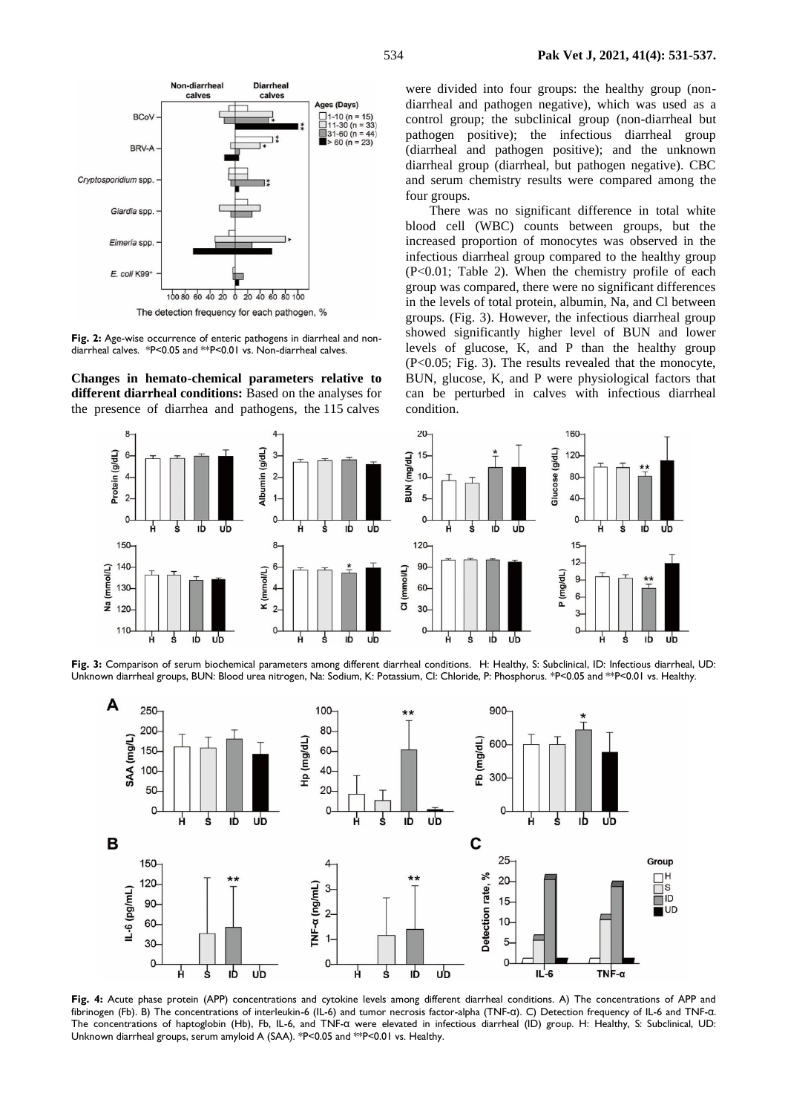Non-diarrheal **Diarrheal** calves calves Ages (Days) **BCoV**  $\Box$ 1-10 (n = 15) | 1-10 (n = 15)<br>| 11-30 (n = 33)<br>| 31-60 (n = 44)<br>| > 60 (n = 23) BRV-A Cryptosporidium spp Giardia spp Eimeria spp E. coli K99+ 10080604020020406080100 The detection frequency for each pathogen, %

Fig. 2: Age-wise occurrence of enteric pathogens in diarrheal and nondiarrheal calves. \*P<0.05 and \*\*P<0.01 vs. Non-diarrheal calves.

**Changes in hemato-chemical parameters relative to different diarrheal conditions:** Based on the analyses for the presence of diarrhea and pathogens, the 115 calves

were divided into four groups: the healthy group (nondiarrheal and pathogen negative), which was used as a control group; the subclinical group (non-diarrheal but pathogen positive); the infectious diarrheal group (diarrheal and pathogen positive); and the unknown diarrheal group (diarrheal, but pathogen negative). CBC and serum chemistry results were compared among the four groups.

There was no significant difference in total white blood cell (WBC) counts between groups, but the increased proportion of monocytes was observed in the infectious diarrheal group compared to the healthy group (P<0.01; Table 2). When the chemistry profile of each group was compared, there were no significant differences in the levels of total protein, albumin, Na, and Cl between groups. (Fig. 3). However, the infectious diarrheal group showed significantly higher level of BUN and lower levels of glucose, K, and P than the healthy group (P<0.05; Fig. 3). The results revealed that the monocyte, BUN, glucose, K, and P were physiological factors that can be perturbed in calves with infectious diarrheal condition.



**Fig. 3:** Comparison of serum biochemical parameters among different diarrheal conditions. H: Healthy, S: Subclinical, ID: Infectious diarrheal, UD: Unknown diarrheal groups, BUN: Blood urea nitrogen, Na: Sodium, K: Potassium, Cl: Chloride, P: Phosphorus. \*P<0.05 and \*\*P<0.01 vs. Healthy.



**Fig. 4:** Acute phase protein (APP) concentrations and cytokine levels among different diarrheal conditions. A) The concentrations of APP and fibrinogen (Fb). B) The concentrations of interleukin-6 (IL-6) and tumor necrosis factor-alpha (TNF-α). C) Detection frequency of IL-6 and TNF-α. The concentrations of haptoglobin (Hb), Fb, IL-6, and TNF-α were elevated in infectious diarrheal (ID) group. H: Healthy, S: Subclinical, UD: Unknown diarrheal groups, serum amyloid A (SAA). \*P<0.05 and \*\*P<0.01 vs. Healthy.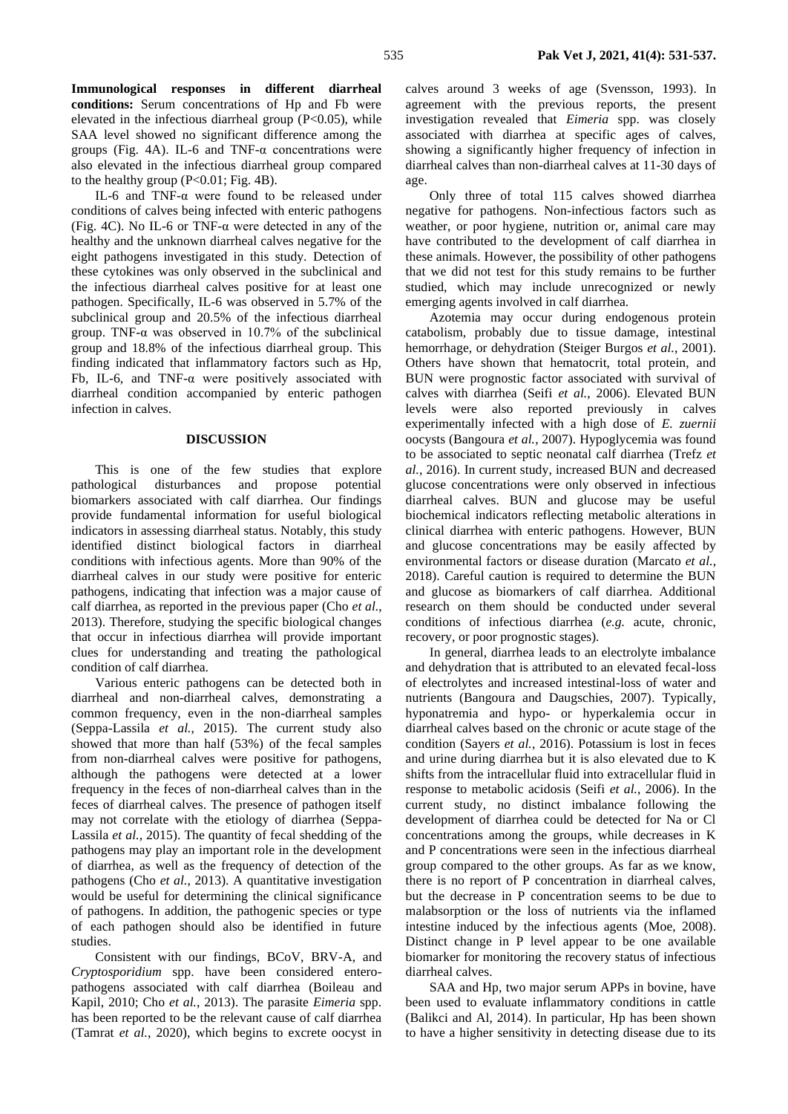**Immunological responses in different diarrheal conditions:** Serum concentrations of Hp and Fb were elevated in the infectious diarrheal group (P<0.05), while SAA level showed no significant difference among the groups (Fig. 4A). IL-6 and TNF- $\alpha$  concentrations were also elevated in the infectious diarrheal group compared to the healthy group  $(P<0.01; Fig. 4B)$ .

IL-6 and TNF-α were found to be released under conditions of calves being infected with enteric pathogens (Fig. 4C). No IL-6 or TNF- $\alpha$  were detected in any of the healthy and the unknown diarrheal calves negative for the eight pathogens investigated in this study. Detection of these cytokines was only observed in the subclinical and the infectious diarrheal calves positive for at least one pathogen. Specifically, IL-6 was observed in 5.7% of the subclinical group and 20.5% of the infectious diarrheal group. TNF- $\alpha$  was observed in 10.7% of the subclinical group and 18.8% of the infectious diarrheal group. This finding indicated that inflammatory factors such as Hp, Fb, IL-6, and TNF- $\alpha$  were positively associated with diarrheal condition accompanied by enteric pathogen infection in calves.

#### **DISCUSSION**

This is one of the few studies that explore pathological disturbances and propose potential biomarkers associated with calf diarrhea. Our findings provide fundamental information for useful biological indicators in assessing diarrheal status. Notably, this study identified distinct biological factors in diarrheal conditions with infectious agents. More than 90% of the diarrheal calves in our study were positive for enteric pathogens, indicating that infection was a major cause of calf diarrhea, as reported in the previous paper (Cho *et al.*, 2013). Therefore, studying the specific biological changes that occur in infectious diarrhea will provide important clues for understanding and treating the pathological condition of calf diarrhea.

Various enteric pathogens can be detected both in diarrheal and non-diarrheal calves, demonstrating a common frequency, even in the non-diarrheal samples (Seppa-Lassila *et al.*, 2015). The current study also showed that more than half (53%) of the fecal samples from non-diarrheal calves were positive for pathogens, although the pathogens were detected at a lower frequency in the feces of non-diarrheal calves than in the feces of diarrheal calves. The presence of pathogen itself may not correlate with the etiology of diarrhea (Seppa-Lassila *et al.*, 2015). The quantity of fecal shedding of the pathogens may play an important role in the development of diarrhea, as well as the frequency of detection of the pathogens (Cho *et al.*, 2013). A quantitative investigation would be useful for determining the clinical significance of pathogens. In addition, the pathogenic species or type of each pathogen should also be identified in future studies.

Consistent with our findings, BCoV, BRV-A, and *Cryptosporidium* spp. have been considered enteropathogens associated with calf diarrhea (Boileau and Kapil, 2010; Cho *et al.*, 2013). The parasite *Eimeria* spp. has been reported to be the relevant cause of calf diarrhea (Tamrat *et al.*, 2020), which begins to excrete oocyst in calves around 3 weeks of age (Svensson, 1993). In agreement with the previous reports, the present investigation revealed that *Eimeria* spp. was closely associated with diarrhea at specific ages of calves, showing a significantly higher frequency of infection in diarrheal calves than non-diarrheal calves at 11-30 days of age.

Only three of total 115 calves showed diarrhea negative for pathogens. Non-infectious factors such as weather, or poor hygiene, nutrition or, animal care may have contributed to the development of calf diarrhea in these animals. However, the possibility of other pathogens that we did not test for this study remains to be further studied, which may include unrecognized or newly emerging agents involved in calf diarrhea.

Azotemia may occur during endogenous protein catabolism, probably due to tissue damage, intestinal hemorrhage, or dehydration (Steiger Burgos *et al.*, 2001). Others have shown that hematocrit, total protein, and BUN were prognostic factor associated with survival of calves with diarrhea (Seifi *et al.*, 2006). Elevated BUN levels were also reported previously in calves experimentally infected with a high dose of *E. zuernii* oocysts (Bangoura *et al.*, 2007). Hypoglycemia was found to be associated to septic neonatal calf diarrhea (Trefz *et al.*, 2016). In current study, increased BUN and decreased glucose concentrations were only observed in infectious diarrheal calves. BUN and glucose may be useful biochemical indicators reflecting metabolic alterations in clinical diarrhea with enteric pathogens. However, BUN and glucose concentrations may be easily affected by environmental factors or disease duration (Marcato *et al.*, 2018). Careful caution is required to determine the BUN and glucose as biomarkers of calf diarrhea. Additional research on them should be conducted under several conditions of infectious diarrhea (*e.g.* acute, chronic, recovery, or poor prognostic stages).

In general, diarrhea leads to an electrolyte imbalance and dehydration that is attributed to an elevated fecal-loss of electrolytes and increased intestinal-loss of water and nutrients (Bangoura and Daugschies, 2007). Typically, hyponatremia and hypo- or hyperkalemia occur in diarrheal calves based on the chronic or acute stage of the condition (Sayers *et al.*, 2016). Potassium is lost in feces and urine during diarrhea but it is also elevated due to K shifts from the intracellular fluid into extracellular fluid in response to metabolic acidosis (Seifi *et al.*, 2006). In the current study, no distinct imbalance following the development of diarrhea could be detected for Na or Cl concentrations among the groups, while decreases in K and P concentrations were seen in the infectious diarrheal group compared to the other groups. As far as we know, there is no report of P concentration in diarrheal calves, but the decrease in P concentration seems to be due to malabsorption or the loss of nutrients via the inflamed intestine induced by the infectious agents (Moe, 2008). Distinct change in P level appear to be one available biomarker for monitoring the recovery status of infectious diarrheal calves.

SAA and Hp, two major serum APPs in bovine, have been used to evaluate inflammatory conditions in cattle (Balikci and Al, 2014). In particular, Hp has been shown to have a higher sensitivity in detecting disease due to its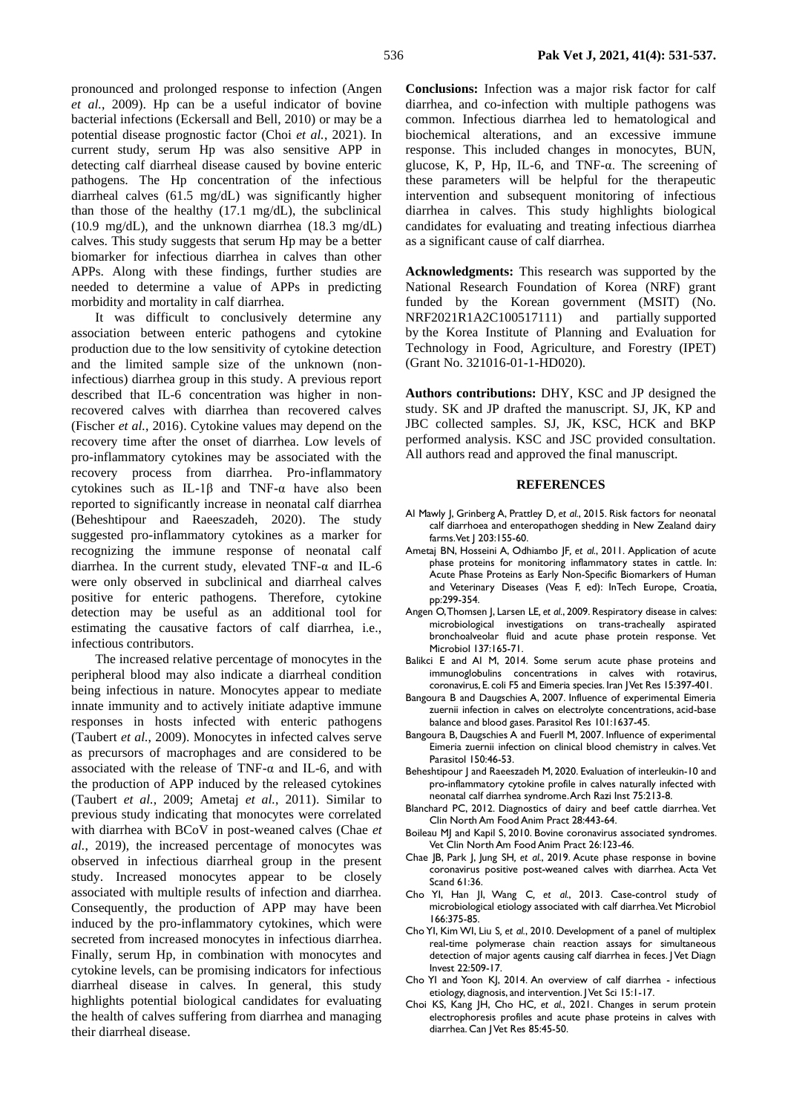pronounced and prolonged response to infection (Angen *et al.*, 2009). Hp can be a useful indicator of bovine bacterial infections (Eckersall and Bell, 2010) or may be a potential disease prognostic factor (Choi *et al.*, 2021). In current study, serum Hp was also sensitive APP in detecting calf diarrheal disease caused by bovine enteric pathogens. The Hp concentration of the infectious diarrheal calves (61.5 mg/dL) was significantly higher than those of the healthy (17.1 mg/dL), the subclinical (10.9 mg/dL), and the unknown diarrhea (18.3 mg/dL) calves. This study suggests that serum Hp may be a better biomarker for infectious diarrhea in calves than other APPs. Along with these findings, further studies are needed to determine a value of APPs in predicting morbidity and mortality in calf diarrhea.

It was difficult to conclusively determine any association between enteric pathogens and cytokine production due to the low sensitivity of cytokine detection and the limited sample size of the unknown (noninfectious) diarrhea group in this study. A previous report described that IL-6 concentration was higher in nonrecovered calves with diarrhea than recovered calves (Fischer *et al.*, 2016). Cytokine values may depend on the recovery time after the onset of diarrhea. Low levels of pro-inflammatory cytokines may be associated with the recovery process from diarrhea. Pro-inflammatory cytokines such as IL-1 $\beta$  and TNF- $\alpha$  have also been reported to significantly increase in neonatal calf diarrhea (Beheshtipour and Raeeszadeh, 2020). The study suggested pro-inflammatory cytokines as a marker for recognizing the immune response of neonatal calf diarrhea. In the current study, elevated TNF-α and IL-6 were only observed in subclinical and diarrheal calves positive for enteric pathogens. Therefore, cytokine detection may be useful as an additional tool for estimating the causative factors of calf diarrhea, i.e., infectious contributors.

The increased relative percentage of monocytes in the peripheral blood may also indicate a diarrheal condition being infectious in nature. Monocytes appear to mediate innate immunity and to actively initiate adaptive immune responses in hosts infected with enteric pathogens (Taubert *et al.*, 2009). Monocytes in infected calves serve as precursors of macrophages and are considered to be associated with the release of TNF- $\alpha$  and IL-6, and with the production of APP induced by the released cytokines (Taubert *et al.*, 2009; Ametaj *et al.*, 2011). Similar to previous study indicating that monocytes were correlated with diarrhea with BCoV in post-weaned calves (Chae *et al.*, 2019), the increased percentage of monocytes was observed in infectious diarrheal group in the present study. Increased monocytes appear to be closely associated with multiple results of infection and diarrhea. Consequently, the production of APP may have been induced by the pro-inflammatory cytokines, which were secreted from increased monocytes in infectious diarrhea. Finally, serum Hp, in combination with monocytes and cytokine levels, can be promising indicators for infectious diarrheal disease in calves. In general, this study highlights potential biological candidates for evaluating the health of calves suffering from diarrhea and managing their diarrheal disease.

**Conclusions:** Infection was a major risk factor for calf diarrhea, and co-infection with multiple pathogens was common. Infectious diarrhea led to hematological and biochemical alterations, and an excessive immune response. This included changes in monocytes, BUN, glucose, K, P, Hp, IL-6, and TNF- $\alpha$ . The screening of these parameters will be helpful for the therapeutic intervention and subsequent monitoring of infectious diarrhea in calves. This study highlights biological candidates for evaluating and treating infectious diarrhea as a significant cause of calf diarrhea.

**Acknowledgments:** This research was supported by the National Research Foundation of Korea (NRF) grant funded by the Korean government (MSIT) (No. NRF2021R1A2C100517111) and partially supported by the Korea Institute of Planning and Evaluation for Technology in Food, Agriculture, and Forestry (IPET) (Grant No. 321016-01-1-HD020).

**Authors contributions:** DHY, KSC and JP designed the study. SK and JP drafted the manuscript. SJ, JK, KP and JBC collected samples. SJ, JK, KSC, HCK and BKP performed analysis. KSC and JSC provided consultation. All authors read and approved the final manuscript.

#### **REFERENCES**

- Al Mawly J, Grinberg A, Prattley D*, et al.*, 2015. Risk factors for neonatal calf diarrhoea and enteropathogen shedding in New Zealand dairy farms. Vet | 203:155-60.
- Ametaj BN, Hosseini A, Odhiambo JF*, et al.*, 2011. Application of acute phase proteins for monitoring inflammatory states in cattle. In: Acute Phase Proteins as Early Non-Specific Biomarkers of Human and Veterinary Diseases (Veas F, ed): InTech Europe, Croatia, pp:299-354.
- Angen O, Thomsen J, Larsen LE*, et al.*, 2009. Respiratory disease in calves: microbiological investigations on trans-tracheally aspirated bronchoalveolar fluid and acute phase protein response. Vet Microbiol 137:165-71.
- Balikci E and Al M, 2014. Some serum acute phase proteins and immunoglobulins concentrations in calves with rotavirus, coronavirus, E. coli F5 and Eimeria species. Iran J Vet Res 15:397-401.
- Bangoura B and Daugschies A, 2007. Influence of experimental Eimeria zuernii infection in calves on electrolyte concentrations, acid-base balance and blood gases. Parasitol Res 101:1637-45.
- Bangoura B, Daugschies A and Fuerll M, 2007. Influence of experimental Eimeria zuernii infection on clinical blood chemistry in calves. Vet Parasitol 150:46-53.
- Beheshtipour J and Raeeszadeh M, 2020. Evaluation of interleukin-10 and pro-inflammatory cytokine profile in calves naturally infected with neonatal calf diarrhea syndrome. Arch Razi Inst 75:213-8.
- Blanchard PC, 2012. Diagnostics of dairy and beef cattle diarrhea. Vet Clin North Am Food Anim Pract 28:443-64.
- Boileau MJ and Kapil S, 2010. Bovine coronavirus associated syndromes. Vet Clin North Am Food Anim Pract 26:123-46.
- Chae JB, Park J, Jung SH*, et al.*, 2019. Acute phase response in bovine coronavirus positive post-weaned calves with diarrhea. Acta Vet Scand 61:36.
- Cho YI, Han JI, Wang C*, et al.*, 2013. Case-control study of microbiological etiology associated with calf diarrhea. Vet Microbiol 166:375-85.
- Cho YI, Kim WI, Liu S*, et al.*, 2010. Development of a panel of multiplex real-time polymerase chain reaction assays for simultaneous detection of major agents causing calf diarrhea in feces. J Vet Diagn Invest 22:509-17.
- Cho YI and Yoon KJ, 2014. An overview of calf diarrhea infectious etiology, diagnosis, and intervention. J Vet Sci 15:1-17.
- Choi KS, Kang JH, Cho HC*, et al.*, 2021. Changes in serum protein electrophoresis profiles and acute phase proteins in calves with diarrhea. Can J Vet Res 85:45-50.